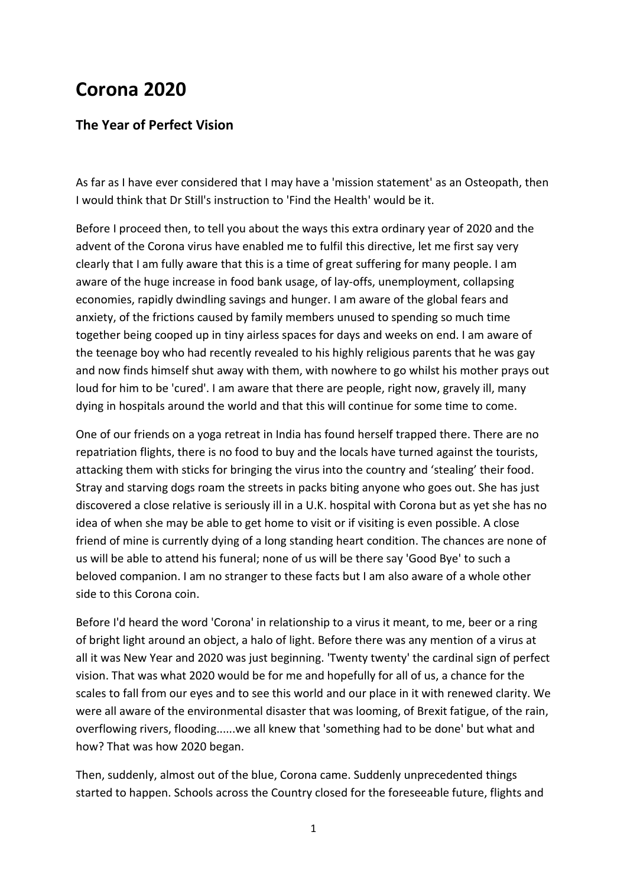## **Corona 2020**

## **The Year of Perfect Vision**

As far as I have ever considered that I may have a 'mission statement' as an Osteopath, then I would think that Dr Still's instruction to 'Find the Health' would be it.

Before I proceed then, to tell you about the ways this extra ordinary year of 2020 and the advent of the Corona virus have enabled me to fulfil this directive, let me first say very clearly that I am fully aware that this is a time of great suffering for many people. I am aware of the huge increase in food bank usage, of lay-offs, unemployment, collapsing economies, rapidly dwindling savings and hunger. I am aware of the global fears and anxiety, of the frictions caused by family members unused to spending so much time together being cooped up in tiny airless spaces for days and weeks on end. I am aware of the teenage boy who had recently revealed to his highly religious parents that he was gay and now finds himself shut away with them, with nowhere to go whilst his mother prays out loud for him to be 'cured'. I am aware that there are people, right now, gravely ill, many dying in hospitals around the world and that this will continue for some time to come.

One of our friends on a yoga retreat in India has found herself trapped there. There are no repatriation flights, there is no food to buy and the locals have turned against the tourists, attacking them with sticks for bringing the virus into the country and 'stealing' their food. Stray and starving dogs roam the streets in packs biting anyone who goes out. She has just discovered a close relative is seriously ill in a U.K. hospital with Corona but as yet she has no idea of when she may be able to get home to visit or if visiting is even possible. A close friend of mine is currently dying of a long standing heart condition. The chances are none of us will be able to attend his funeral; none of us will be there say 'Good Bye' to such a beloved companion. I am no stranger to these facts but I am also aware of a whole other side to this Corona coin.

Before I'd heard the word 'Corona' in relationship to a virus it meant, to me, beer or a ring of bright light around an object, a halo of light. Before there was any mention of a virus at all it was New Year and 2020 was just beginning. 'Twenty twenty' the cardinal sign of perfect vision. That was what 2020 would be for me and hopefully for all of us, a chance for the scales to fall from our eyes and to see this world and our place in it with renewed clarity. We were all aware of the environmental disaster that was looming, of Brexit fatigue, of the rain, overflowing rivers, flooding......we all knew that 'something had to be done' but what and how? That was how 2020 began.

Then, suddenly, almost out of the blue, Corona came. Suddenly unprecedented things started to happen. Schools across the Country closed for the foreseeable future, flights and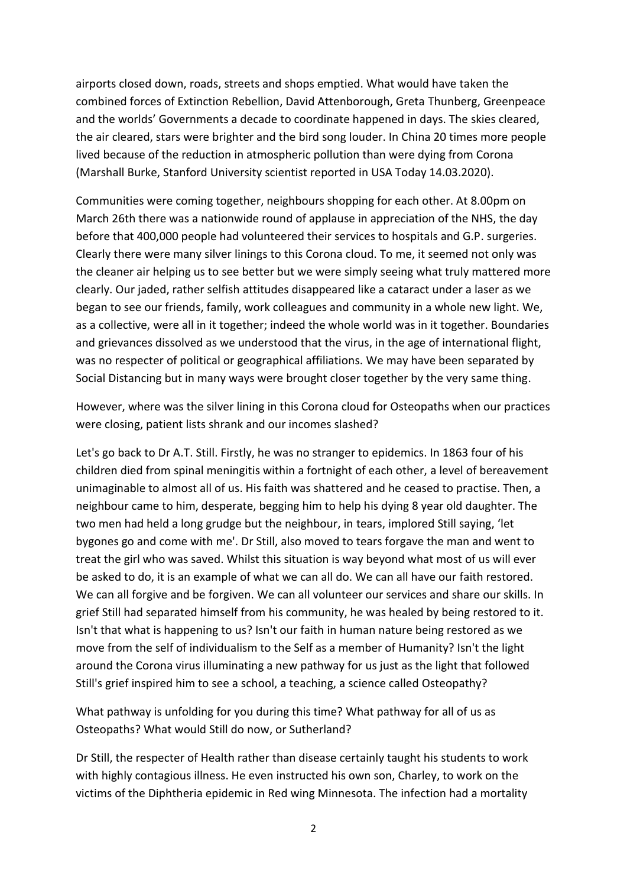airports closed down, roads, streets and shops emptied. What would have taken the combined forces of Extinction Rebellion, David Attenborough, Greta Thunberg, Greenpeace and the worlds' Governments a decade to coordinate happened in days. The skies cleared, the air cleared, stars were brighter and the bird song louder. In China 20 times more people lived because of the reduction in atmospheric pollution than were dying from Corona (Marshall Burke, Stanford University scientist reported in USA Today 14.03.2020).

Communities were coming together, neighbours shopping for each other. At 8.00pm on March 26th there was a nationwide round of applause in appreciation of the NHS, the day before that 400,000 people had volunteered their services to hospitals and G.P. surgeries. Clearly there were many silver linings to this Corona cloud. To me, it seemed not only was the cleaner air helping us to see better but we were simply seeing what truly mattered more clearly. Our jaded, rather selfish attitudes disappeared like a cataract under a laser as we began to see our friends, family, work colleagues and community in a whole new light. We, as a collective, were all in it together; indeed the whole world was in it together. Boundaries and grievances dissolved as we understood that the virus, in the age of international flight, was no respecter of political or geographical affiliations. We may have been separated by Social Distancing but in many ways were brought closer together by the very same thing.

However, where was the silver lining in this Corona cloud for Osteopaths when our practices were closing, patient lists shrank and our incomes slashed?

Let's go back to Dr A.T. Still. Firstly, he was no stranger to epidemics. In 1863 four of his children died from spinal meningitis within a fortnight of each other, a level of bereavement unimaginable to almost all of us. His faith was shattered and he ceased to practise. Then, a neighbour came to him, desperate, begging him to help his dying 8 year old daughter. The two men had held a long grudge but the neighbour, in tears, implored Still saying, 'let bygones go and come with me'. Dr Still, also moved to tears forgave the man and went to treat the girl who was saved. Whilst this situation is way beyond what most of us will ever be asked to do, it is an example of what we can all do. We can all have our faith restored. We can all forgive and be forgiven. We can all volunteer our services and share our skills. In grief Still had separated himself from his community, he was healed by being restored to it. Isn't that what is happening to us? Isn't our faith in human nature being restored as we move from the self of individualism to the Self as a member of Humanity? Isn't the light around the Corona virus illuminating a new pathway for us just as the light that followed Still's grief inspired him to see a school, a teaching, a science called Osteopathy?

What pathway is unfolding for you during this time? What pathway for all of us as Osteopaths? What would Still do now, or Sutherland?

Dr Still, the respecter of Health rather than disease certainly taught his students to work with highly contagious illness. He even instructed his own son, Charley, to work on the victims of the Diphtheria epidemic in Red wing Minnesota. The infection had a mortality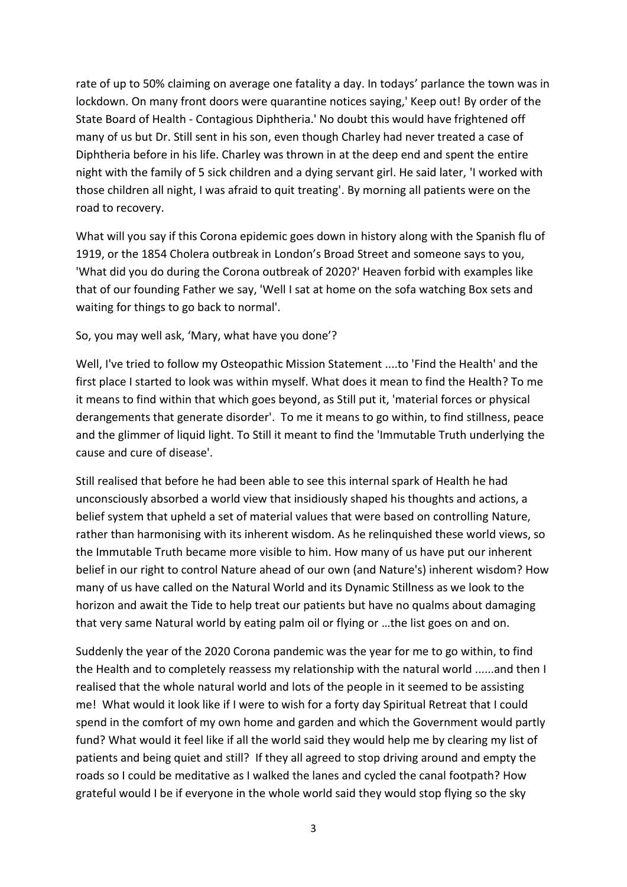rate of up to 50% claiming on average one fatality a day. In todays' parlance the town was in lockdown. On many front doors were quarantine notices saying,' Keep out! By order of the State Board of Health - Contagious Diphtheria.' No doubt this would have frightened off many of us but Dr. Still sent in his son, even though Charley had never treated a case of Diphtheria before in his life. Charley was thrown in at the deep end and spent the entire night with the family of 5 sick children and a dying servant girl. He said later, 'I worked with those children all night, I was afraid to quit treating'. By morning all patients were on the road to recovery.

What will you say if this Corona epidemic goes down in history along with the Spanish flu of 1919, or the 1854 Cholera outbreak in London's Broad Street and someone says to you, 'What did you do during the Corona outbreak of 2020?' Heaven forbid with examples like that of our founding Father we say, 'Well I sat at home on the sofa watching Box sets and waiting for things to go back to normal'.

## So, you may well ask, 'Mary, what have you done'?

Well, I've tried to follow my Osteopathic Mission Statement ....to 'Find the Health' and the first place I started to look was within myself. What does it mean to find the Health? To me it means to find within that which goes beyond, as Still put it, 'material forces or physical derangements that generate disorder'. To me it means to go within, to find stillness, peace and the glimmer of liquid light. To Still it meant to find the 'Immutable Truth underlying the cause and cure of disease'.

Still realised that before he had been able to see this internal spark of Health he had unconsciously absorbed a world view that insidiously shaped his thoughts and actions, a belief system that upheld a set of material values that were based on controlling Nature, rather than harmonising with its inherent wisdom. As he relinquished these world views, so the Immutable Truth became more visible to him. How many of us have put our inherent belief in our right to control Nature ahead of our own (and Nature's) inherent wisdom? How many of us have called on the Natural World and its Dynamic Stillness as we look to the horizon and await the Tide to help treat our patients but have no qualms about damaging that very same Natural world by eating palm oil or flying or …the list goes on and on.

Suddenly the year of the 2020 Corona pandemic was the year for me to go within, to find the Health and to completely reassess my relationship with the natural world ......and then I realised that the whole natural world and lots of the people in it seemed to be assisting me! What would it look like if I were to wish for a forty day Spiritual Retreat that I could spend in the comfort of my own home and garden and which the Government would partly fund? What would it feel like if all the world said they would help me by clearing my list of patients and being quiet and still? If they all agreed to stop driving around and empty the roads so I could be meditative as I walked the lanes and cycled the canal footpath? How grateful would I be if everyone in the whole world said they would stop flying so the sky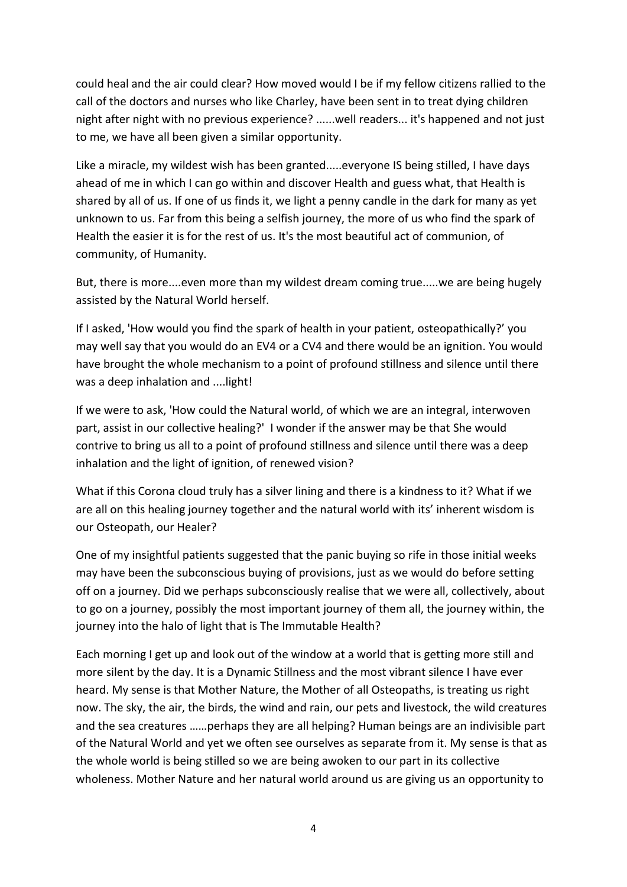could heal and the air could clear? How moved would I be if my fellow citizens rallied to the call of the doctors and nurses who like Charley, have been sent in to treat dying children night after night with no previous experience? ......well readers... it's happened and not just to me, we have all been given a similar opportunity.

Like a miracle, my wildest wish has been granted.....everyone IS being stilled, I have days ahead of me in which I can go within and discover Health and guess what, that Health is shared by all of us. If one of us finds it, we light a penny candle in the dark for many as yet unknown to us. Far from this being a selfish journey, the more of us who find the spark of Health the easier it is for the rest of us. It's the most beautiful act of communion, of community, of Humanity.

But, there is more....even more than my wildest dream coming true.....we are being hugely assisted by the Natural World herself.

If I asked, 'How would you find the spark of health in your patient, osteopathically?' you may well say that you would do an EV4 or a CV4 and there would be an ignition. You would have brought the whole mechanism to a point of profound stillness and silence until there was a deep inhalation and ....light!

If we were to ask, 'How could the Natural world, of which we are an integral, interwoven part, assist in our collective healing?' I wonder if the answer may be that She would contrive to bring us all to a point of profound stillness and silence until there was a deep inhalation and the light of ignition, of renewed vision?

What if this Corona cloud truly has a silver lining and there is a kindness to it? What if we are all on this healing journey together and the natural world with its' inherent wisdom is our Osteopath, our Healer?

One of my insightful patients suggested that the panic buying so rife in those initial weeks may have been the subconscious buying of provisions, just as we would do before setting off on a journey. Did we perhaps subconsciously realise that we were all, collectively, about to go on a journey, possibly the most important journey of them all, the journey within, the journey into the halo of light that is The Immutable Health?

Each morning I get up and look out of the window at a world that is getting more still and more silent by the day. It is a Dynamic Stillness and the most vibrant silence I have ever heard. My sense is that Mother Nature, the Mother of all Osteopaths, is treating us right now. The sky, the air, the birds, the wind and rain, our pets and livestock, the wild creatures and the sea creatures ……perhaps they are all helping? Human beings are an indivisible part of the Natural World and yet we often see ourselves as separate from it. My sense is that as the whole world is being stilled so we are being awoken to our part in its collective wholeness. Mother Nature and her natural world around us are giving us an opportunity to